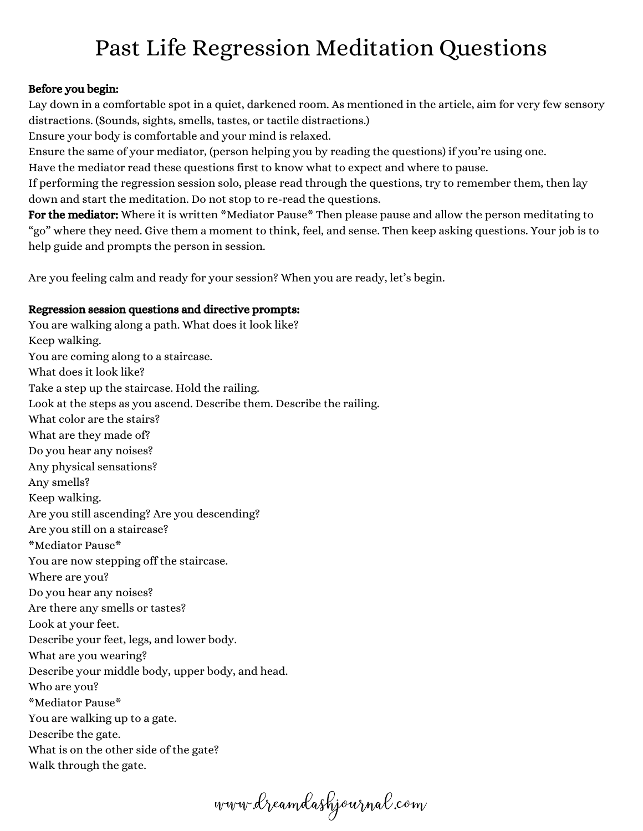## Past Life Regression Meditation Questions

## Before you begin:

Lay down in a comfortable spot in a quiet, darkened room. As mentioned in the article, aim for very few sensory distractions. (Sounds, sights, smells, tastes, or tactile distractions.)

Ensure your body is comfortable and your mind is relaxed.

Ensure the same of your mediator, (person helping you by reading the questions) if you're using one.

Have the mediator read these questions first to know what to expect and where to pause.

If performing the regression session solo, please read through the questions, try to remember them, then lay down and start the meditation. Do not stop to re-read the questions.

For the mediator: Where it is written \*Mediator Pause\* Then please pause and allow the person meditating to "go" where they need. Give them a moment to think, feel, and sense. Then keep asking questions. Your job is to help guide and prompts the person in session.

Are you feeling calm and ready for your session? When you are ready, let's begin.

## Regression session questions and directive prompts:

You are walking along a path. What does it look like? Keep walking. You are coming along to a staircase. What does it look like? Take a step up the staircase. Hold the railing. Look at the steps as you ascend. Describe them. Describe the railing. What color are the stairs? What are they made of? Do you hear any noises? Any physical sensations? Any smells? Keep walking. Are you still ascending? Are you descending? Are you still on a staircase? \*Mediator Pause\* You are now stepping off the staircase. Where are you? Do you hear any noises? Are there any smells or tastes? Look at your feet. Describe your feet, legs, and lower body. What are you wearing? Describe your middle body, upper body, and head. Who are you? \*Mediator Pause\* You are walking up to a gate. Describe the gate. What is on the other side of the gate? Walk through the gate.

www.dreamdashjournal.com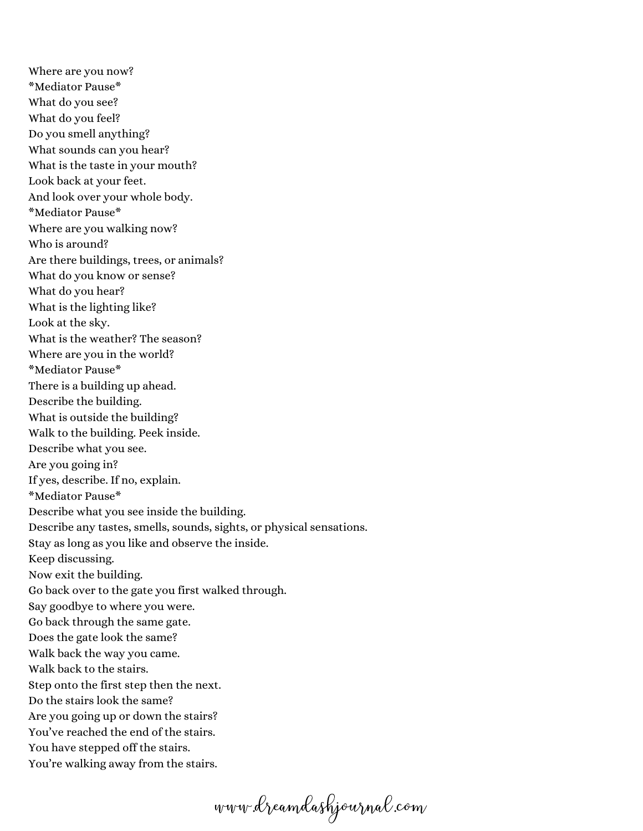Where are you now? \*Mediator Pause\* What do you see? What do you feel? Do you smell anything? What sounds can you hear? What is the taste in your mouth? Look back at your feet. And look over your whole body. \*Mediator Pause\* Where are you walking now? Who is around? Are there buildings, trees, or animals? What do you know or sense? What do you hear? What is the lighting like? Look at the sky. What is the weather? The season? Where are you in the world? \*Mediator Pause\* There is a building up ahead. Describe the building. What is outside the building? Walk to the building. Peek inside. Describe what you see. Are you going in? If yes, describe. If no, explain. \*Mediator Pause\* Describe what you see inside the building. Describe any tastes, smells, sounds, sights, or physical sensations. Stay as long as you like and observe the inside. Keep discussing. Now exit the building. Go back over to the gate you first walked through. Say goodbye to where you were. Go back through the same gate. Does the gate look the same? Walk back the way you came. Walk back to the stairs. Step onto the first step then the next. Do the stairs look the same? Are you going up or down the stairs? You've reached the end of the stairs. You have stepped off the stairs. You're walking away from the stairs.

www.dreamdashjournal.com